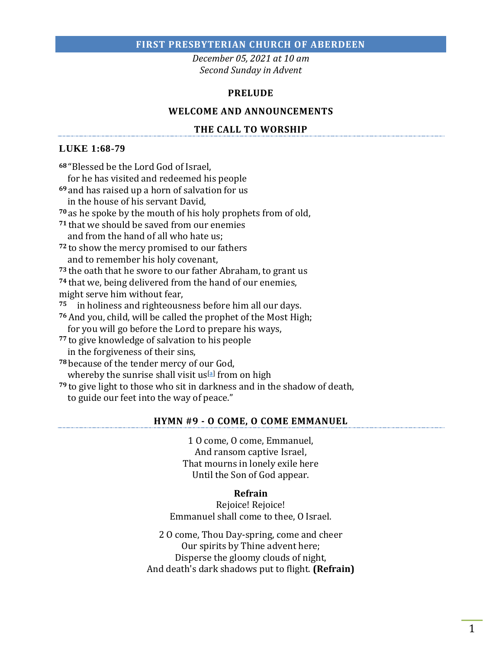#### **FIRST PRESBYTERIAN CHURCH OF ABERDEEN**

*December 05, 2021 at 10 am Second Sunday in Advent*

#### **PRELUDE**

#### **WELCOME AND ANNOUNCEMENTS**

#### **THE CALL TO WORSHIP**

### **LUKE 1:68-79**

**<sup>68</sup>** "Blessed be the Lord God of Israel, for he has visited and redeemed his people **<sup>69</sup>** and has raised up a horn of salvation for us in the house of his servant David, **<sup>70</sup>** as he spoke by the mouth of his holy prophets from of old, **<sup>71</sup>** that we should be saved from our enemies and from the hand of all who hate us; **<sup>72</sup>** to show the mercy promised to our fathers and to remember his holy covenant, **<sup>73</sup>** the oath that he swore to our father Abraham, to grant us **<sup>74</sup>** that we, being delivered from the hand of our enemies, might serve him without fear, **<sup>75</sup>** in holiness and righteousness before him all our days. **<sup>76</sup>**And you, child, will be called the prophet of the Most High; for you will go before the Lord to prepare his ways, **<sup>77</sup>** to give knowledge of salvation to his people in the forgiveness of their sins, **<sup>78</sup>** because of the tender mercy of our God, whereby the sunrise shall visit us<sup>[\[a\]](https://www.biblegateway.com/passage/?search=Luke+1%3A68-79&version=ESV#fen-ESV-24963a)</sup> from on high **<sup>79</sup>** to give light to those who sit in darkness and in the shadow of death, to guide our feet into the way of peace."

#### **HYMN #9 - O COME, O COME EMMANUEL**

1 O come, O come, Emmanuel, And ransom captive Israel, That mourns in lonely exile here Until the Son of God appear.

#### **Refrain**

Rejoice! Rejoice! Emmanuel shall come to thee, O Israel.

2 O come, Thou Day-spring, come and cheer Our spirits by Thine advent here; Disperse the gloomy clouds of night, And death's dark shadows put to flight. **(Refrain)**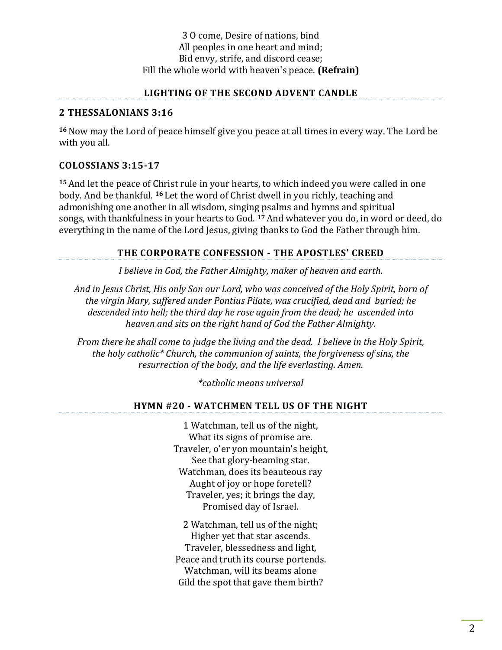# 3 O come, Desire of nations, bind All peoples in one heart and mind; Bid envy, strife, and discord cease; Fill the whole world with heaven's peace. **(Refrain)**

# **LIGHTING OF THE SECOND ADVENT CANDLE**

### **2 THESSALONIANS 3:16**

**<sup>16</sup>**Now may the Lord of peace himself give you peace at all times in every way. The Lord be with you all.

# **COLOSSIANS 3:15-17**

**<sup>15</sup>**And let the peace of Christ rule in your hearts, to which indeed you were called in one body. And be thankful. **<sup>16</sup>** Let the word of Christ dwell in you richly, teaching and admonishing one another in all wisdom, singing psalms and hymns and spiritual songs, with thankfulness in your hearts to God. **<sup>17</sup>**And whatever you do, in word or deed, do everything in the name of the Lord Jesus, giving thanks to God the Father through him.

# **THE CORPORATE CONFESSION - THE APOSTLES' CREED**

*I believe in God, the Father Almighty, maker of heaven and earth.*

*And in Jesus Christ, His only Son our Lord, who was conceived of the Holy Spirit, born of the virgin Mary, suffered under Pontius Pilate, was crucified, dead and buried; he descended into hell; the third day he rose again from the dead; he ascended into heaven and sits on the right hand of God the Father Almighty.*

*From there he shall come to judge the living and the dead. I believe in the Holy Spirit, the holy catholic\* Church, the communion of saints, the forgiveness of sins, the resurrection of the body, and the life everlasting. Amen.*

*\*catholic means universal*

### **HYMN #20 - WATCHMEN TELL US OF THE NIGHT**

1 Watchman, tell us of the night, What its signs of promise are. Traveler, o'er yon mountain's height, See that glory-beaming star. Watchman, does its beauteous ray Aught of joy or hope foretell? Traveler, yes; it brings the day, Promised day of Israel.

2 Watchman, tell us of the night; Higher yet that star ascends. Traveler, blessedness and light, Peace and truth its course portends. Watchman, will its beams alone Gild the spot that gave them birth?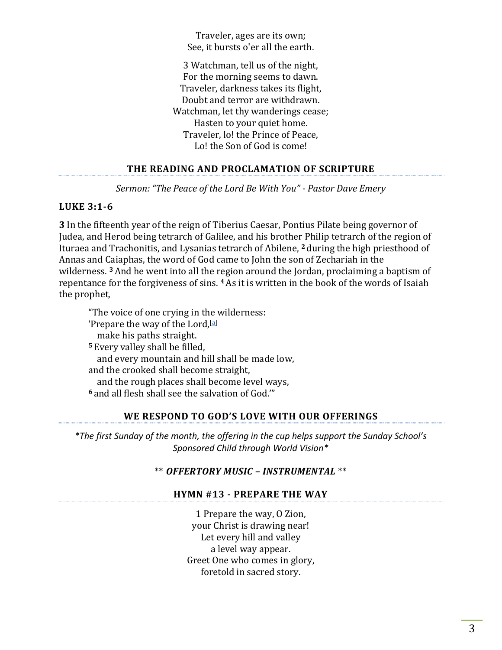Traveler, ages are its own; See, it bursts o'er all the earth.

3 Watchman, tell us of the night, For the morning seems to dawn. Traveler, darkness takes its flight, Doubt and terror are withdrawn. Watchman, let thy wanderings cease; Hasten to your quiet home. Traveler, lo! the Prince of Peace, Lo! the Son of God is come!

# **THE READING AND PROCLAMATION OF SCRIPTURE**

*Sermon: "The Peace of the Lord Be With You" - Pastor Dave Emery*

#### **LUKE 3:1-6**

**3** In the fifteenth year of the reign of Tiberius Caesar, Pontius Pilate being governor of Judea, and Herod being tetrarch of Galilee, and his brother Philip tetrarch of the region of Ituraea and Trachonitis, and Lysanias tetrarch of Abilene, **<sup>2</sup>** during the high priesthood of Annas and Caiaphas, the word of God came to John the son of Zechariah in the wilderness. **<sup>3</sup>**And he went into all the region around the Jordan, proclaiming a baptism of repentance for the forgiveness of sins. **<sup>4</sup>**As it is written in the book of the words of Isaiah the prophet,

"The voice of one crying in the wilderness: 'Prepare the way of the Lord,[\[a\]](https://www.biblegateway.com/passage/?search=Luke+3%3A1-6&version=ESV#fen-ESV-25021a) make his paths straight. **<sup>5</sup>** Every valley shall be filled, and every mountain and hill shall be made low, and the crooked shall become straight, and the rough places shall become level ways, **<sup>6</sup>** and all flesh shall see the salvation of God.'"

#### **WE RESPOND TO GOD'S LOVE WITH OUR OFFERINGS**

*\*The first Sunday of the month, the offering in the cup helps support the Sunday School's Sponsored Child through World Vision\**

### \*\* *OFFERTORY MUSIC – INSTRUMENTAL* \*\*

### **HYMN #13 - PREPARE THE WAY**

1 Prepare the way, O Zion, your Christ is drawing near! Let every hill and valley a level way appear. Greet One who comes in glory, foretold in sacred story.